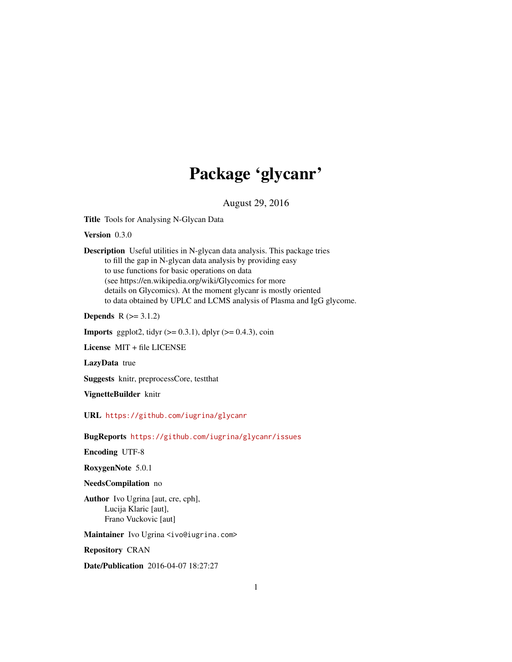# Package 'glycanr'

August 29, 2016

<span id="page-0-0"></span>Title Tools for Analysing N-Glycan Data

Version 0.3.0

Description Useful utilities in N-glycan data analysis. This package tries to fill the gap in N-glycan data analysis by providing easy to use functions for basic operations on data (see https://en.wikipedia.org/wiki/Glycomics for more details on Glycomics). At the moment glycanr is mostly oriented to data obtained by UPLC and LCMS analysis of Plasma and IgG glycome.

**Depends**  $R$  ( $>= 3.1.2$ )

**Imports** ggplot2, tidyr  $(>= 0.3.1)$ , dplyr  $(>= 0.4.3)$ , coin

License MIT + file LICENSE

LazyData true

Suggests knitr, preprocessCore, testthat

VignetteBuilder knitr

URL <https://github.com/iugrina/glycanr>

BugReports <https://github.com/iugrina/glycanr/issues>

Encoding UTF-8

RoxygenNote 5.0.1

#### NeedsCompilation no

Author Ivo Ugrina [aut, cre, cph], Lucija Klaric [aut], Frano Vuckovic [aut]

Maintainer Ivo Ugrina <ivo@iugrina.com>

Repository CRAN

Date/Publication 2016-04-07 18:27:27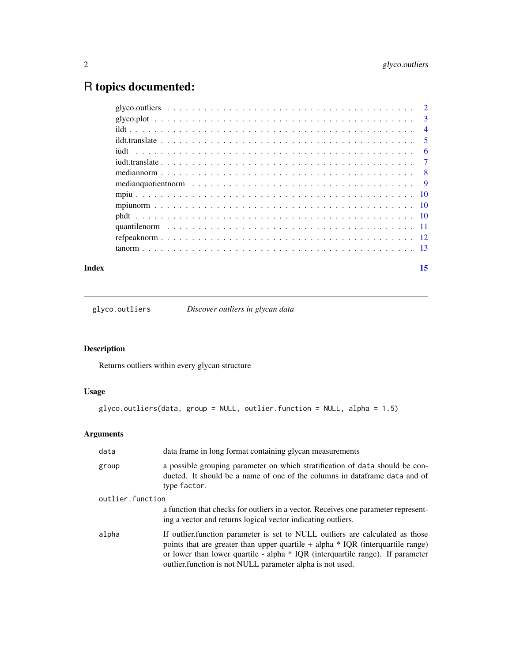# <span id="page-1-0"></span>R topics documented:

| Index | 15 |
|-------|----|
|       |    |
|       |    |
|       |    |
|       |    |
|       |    |
|       |    |
|       |    |
|       |    |
|       |    |
|       |    |
|       |    |
|       |    |
|       |    |
|       |    |

glyco.outliers *Discover outliers in glycan data*

# Description

Returns outliers within every glycan structure

# Usage

```
glyco.outliers(data, group = NULL, outlier.function = NULL, alpha = 1.5)
```

| data             | data frame in long format containing glycan measurements                                                                                                                                                                                                                                                             |
|------------------|----------------------------------------------------------------------------------------------------------------------------------------------------------------------------------------------------------------------------------------------------------------------------------------------------------------------|
| group            | a possible grouping parameter on which stratification of data should be con-<br>ducted. It should be a name of one of the columns in data frame data and of<br>type factor.                                                                                                                                          |
| outlier.function |                                                                                                                                                                                                                                                                                                                      |
|                  | a function that checks for outliers in a vector. Receives one parameter represent-<br>ing a vector and returns logical vector indicating outliers.                                                                                                                                                                   |
| alpha            | If outlier function parameter is set to NULL outliers are calculated as those<br>points that are greater than upper quartile $+$ alpha $*$ IQR (interquartile range)<br>or lower than lower quartile - alpha * IQR (interquartile range). If parameter<br>outlier. function is not NULL parameter alpha is not used. |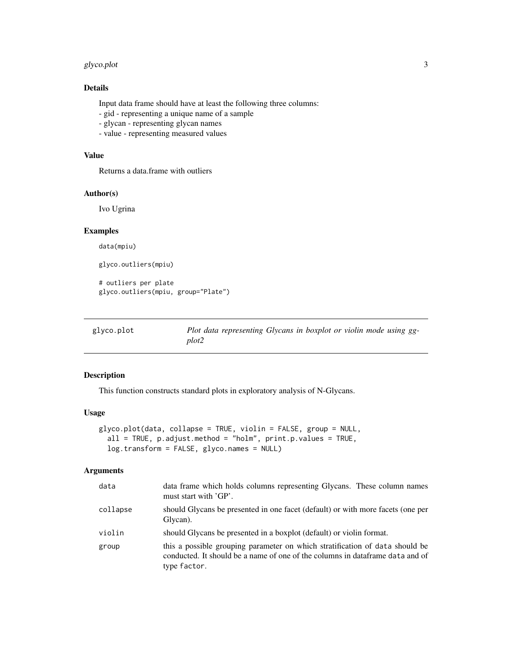#### <span id="page-2-0"></span>glyco.plot 3

# Details

Input data frame should have at least the following three columns:

- gid representing a unique name of a sample
- glycan representing glycan names
- value representing measured values

# Value

Returns a data.frame with outliers

# Author(s)

Ivo Ugrina

#### Examples

data(mpiu)

glyco.outliers(mpiu)

# outliers per plate glyco.outliers(mpiu, group="Plate")

glyco.plot *Plot data representing Glycans in boxplot or violin mode using ggplot2*

# Description

This function constructs standard plots in exploratory analysis of N-Glycans.

# Usage

```
glyco.plot(data, collapse = TRUE, violin = FALSE, group = NULL,
  all = TRUE, p.addjust method = "holm", print.p.values = TRUE,log.transform = FALSE, glyco.names = NULL)
```

| data     | data frame which holds columns representing Glycans. These column names<br>must start with 'GP'.                                                                               |
|----------|--------------------------------------------------------------------------------------------------------------------------------------------------------------------------------|
| collapse | should Glycans be presented in one facet (default) or with more facets (one per<br>Glycan).                                                                                    |
| violin   | should Glycans be presented in a boxplot (default) or violin format.                                                                                                           |
| group    | this a possible grouping parameter on which stratification of data should be<br>conducted. It should be a name of one of the columns in data frame data and of<br>type factor. |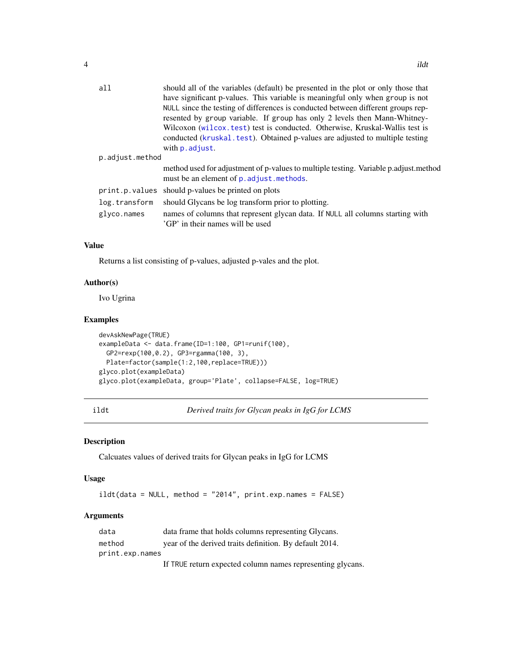<span id="page-3-0"></span>

| a11             | should all of the variables (default) be presented in the plot or only those that<br>have significant p-values. This variable is meaningful only when group is not<br>NULL since the testing of differences is conducted between different groups rep-<br>resented by group variable. If group has only 2 levels then Mann-Whitney-<br>Wilcoxon (wilcox.test) test is conducted. Otherwise, Kruskal-Wallis test is<br>conducted (kruskal.test). Obtained p-values are adjusted to multiple testing<br>with <b>p</b> . adjust. |
|-----------------|-------------------------------------------------------------------------------------------------------------------------------------------------------------------------------------------------------------------------------------------------------------------------------------------------------------------------------------------------------------------------------------------------------------------------------------------------------------------------------------------------------------------------------|
| p.adjust.method |                                                                                                                                                                                                                                                                                                                                                                                                                                                                                                                               |
|                 | method used for adjustment of p-values to multiple testing. Variable p.adjust.method<br>must be an element of p. adjust. methods.                                                                                                                                                                                                                                                                                                                                                                                             |
| print.p.values  | should p-values be printed on plots                                                                                                                                                                                                                                                                                                                                                                                                                                                                                           |
| log.transform   | should Glycans be log transform prior to plotting.                                                                                                                                                                                                                                                                                                                                                                                                                                                                            |
| glyco.names     | names of columns that represent glycan data. If NULL all columns starting with<br>'GP' in their names will be used                                                                                                                                                                                                                                                                                                                                                                                                            |

#### Value

Returns a list consisting of p-values, adjusted p-vales and the plot.

#### Author(s)

Ivo Ugrina

#### Examples

```
devAskNewPage(TRUE)
exampleData <- data.frame(ID=1:100, GP1=runif(100),
  GP2=rexp(100,0.2), GP3=rgamma(100, 3),
  Plate=factor(sample(1:2,100,replace=TRUE)))
glyco.plot(exampleData)
glyco.plot(exampleData, group='Plate', collapse=FALSE, log=TRUE)
```
ildt *Derived traits for Glycan peaks in IgG for LCMS*

# Description

Calcuates values of derived traits for Glycan peaks in IgG for LCMS

#### Usage

ildt(data = NULL, method = "2014", print.exp.names = FALSE)

| data            | data frame that holds columns representing Glycans.       |
|-----------------|-----------------------------------------------------------|
| method          | year of the derived traits definition. By default 2014.   |
| print.exp.names |                                                           |
|                 | If TPUE return expected column names representing alveans |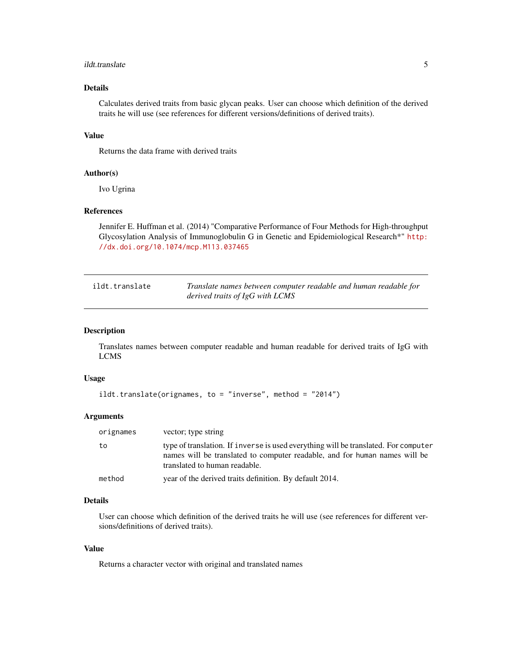#### <span id="page-4-0"></span>ildt.translate 5

# Details

Calculates derived traits from basic glycan peaks. User can choose which definition of the derived traits he will use (see references for different versions/definitions of derived traits).

# Value

Returns the data frame with derived traits

#### Author(s)

Ivo Ugrina

# References

Jennifer E. Huffman et al. (2014) "Comparative Performance of Four Methods for High-throughput Glycosylation Analysis of Immunoglobulin G in Genetic and Epidemiological Research\*" [http:](http://dx.doi.org/10.1074/mcp.M113.037465) [//dx.doi.org/10.1074/mcp.M113.037465](http://dx.doi.org/10.1074/mcp.M113.037465)

| ildt.translate | Translate names between computer readable and human readable for |
|----------------|------------------------------------------------------------------|
|                | derived traits of $IgG$ with LCMS                                |

# Description

Translates names between computer readable and human readable for derived traits of IgG with LCMS

# Usage

```
ildt.translate(orignames, to = "inverse", method = "2014")
```
#### Arguments

| orignames | vector; type string                                                                                                                                                                                |
|-----------|----------------------------------------------------------------------------------------------------------------------------------------------------------------------------------------------------|
| to        | type of translation. If inverse is used everything will be translated. For computer<br>names will be translated to computer readable, and for human names will be<br>translated to human readable. |
| method    | year of the derived traits definition. By default 2014.                                                                                                                                            |

# Details

User can choose which definition of the derived traits he will use (see references for different versions/definitions of derived traits).

# Value

Returns a character vector with original and translated names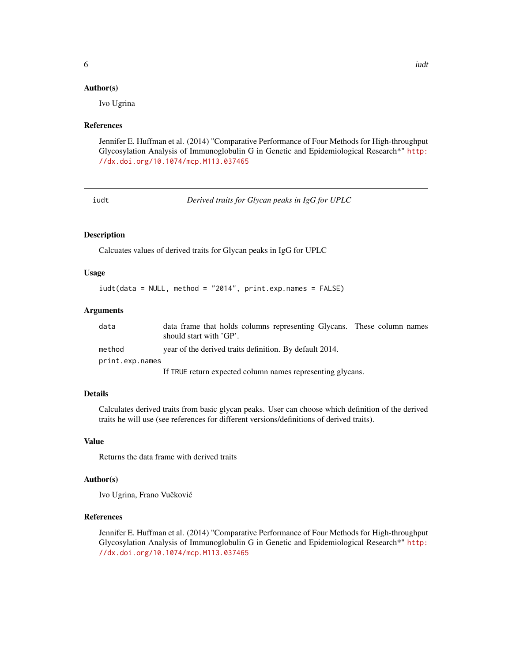#### <span id="page-5-0"></span>Author(s)

Ivo Ugrina

#### References

Jennifer E. Huffman et al. (2014) "Comparative Performance of Four Methods for High-throughput Glycosylation Analysis of Immunoglobulin G in Genetic and Epidemiological Research\*" [http:](http://dx.doi.org/10.1074/mcp.M113.037465) [//dx.doi.org/10.1074/mcp.M113.037465](http://dx.doi.org/10.1074/mcp.M113.037465)

iudt *Derived traits for Glycan peaks in IgG for UPLC*

# Description

Calcuates values of derived traits for Glycan peaks in IgG for UPLC

# Usage

```
iudt(data = NULL, method = "2014", print.exp.names = FALSE)
```
#### Arguments

| data            | data frame that holds columns representing Glycans. These column names<br>should start with 'GP'. |  |
|-----------------|---------------------------------------------------------------------------------------------------|--|
| method          | year of the derived traits definition. By default 2014.                                           |  |
| print.exp.names |                                                                                                   |  |
|                 | If TRUE return expected column names representing glycans.                                        |  |

# Details

Calculates derived traits from basic glycan peaks. User can choose which definition of the derived traits he will use (see references for different versions/definitions of derived traits).

# Value

Returns the data frame with derived traits

#### Author(s)

Ivo Ugrina, Frano Vučković

# References

Jennifer E. Huffman et al. (2014) "Comparative Performance of Four Methods for High-throughput Glycosylation Analysis of Immunoglobulin G in Genetic and Epidemiological Research\*" [http:](http://dx.doi.org/10.1074/mcp.M113.037465) [//dx.doi.org/10.1074/mcp.M113.037465](http://dx.doi.org/10.1074/mcp.M113.037465)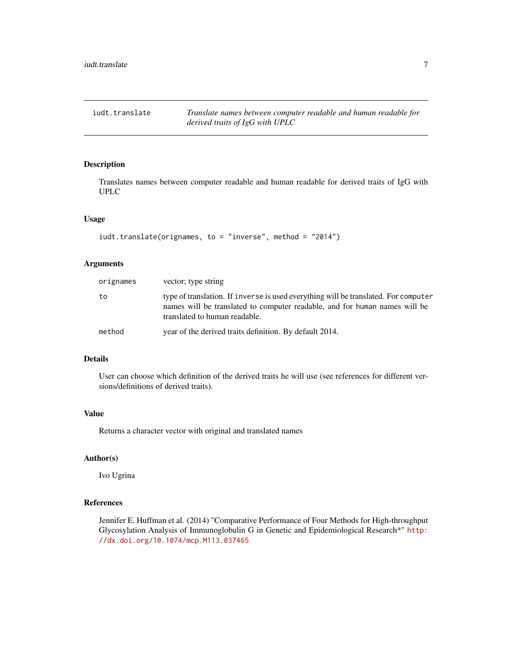<span id="page-6-0"></span>iudt.translate *Translate names between computer readable and human readable for derived traits of IgG with UPLC*

# Description

Translates names between computer readable and human readable for derived traits of IgG with UPLC

# Usage

```
iudt.translate(orignames, to = "inverse", method = "2014")
```
# Arguments

| orignames | vector; type string                                                                                                                                                                                |
|-----------|----------------------------------------------------------------------------------------------------------------------------------------------------------------------------------------------------|
| to        | type of translation. If inverse is used everything will be translated. For computer<br>names will be translated to computer readable, and for human names will be<br>translated to human readable. |
| method    | year of the derived traits definition. By default 2014.                                                                                                                                            |

# Details

User can choose which definition of the derived traits he will use (see references for different versions/definitions of derived traits).

# Value

Returns a character vector with original and translated names

#### Author(s)

Ivo Ugrina

#### References

Jennifer E. Huffman et al. (2014) "Comparative Performance of Four Methods for High-throughput Glycosylation Analysis of Immunoglobulin G in Genetic and Epidemiological Research\*" [http:](http://dx.doi.org/10.1074/mcp.M113.037465) [//dx.doi.org/10.1074/mcp.M113.037465](http://dx.doi.org/10.1074/mcp.M113.037465)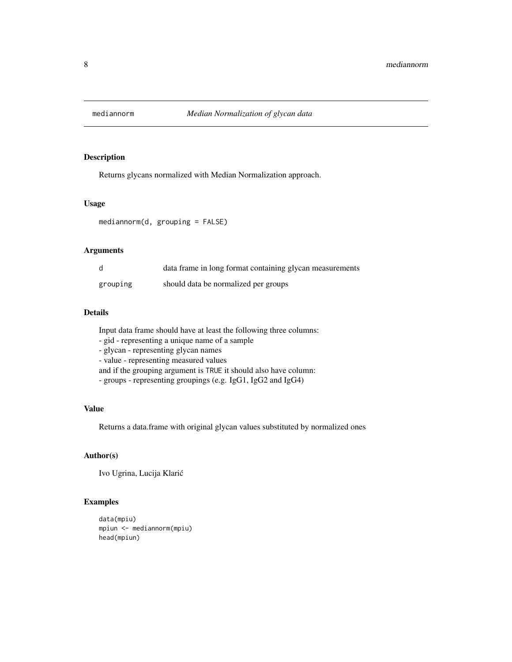<span id="page-7-0"></span>

# Description

Returns glycans normalized with Median Normalization approach.

# Usage

mediannorm(d, grouping = FALSE)

#### Arguments

| d        | data frame in long format containing glycan measurements |
|----------|----------------------------------------------------------|
| grouping | should data be normalized per groups                     |

# Details

Input data frame should have at least the following three columns:

- gid - representing a unique name of a sample

- glycan - representing glycan names

- value - representing measured values

and if the grouping argument is TRUE it should also have column:

- groups - representing groupings (e.g. IgG1, IgG2 and IgG4)

# Value

Returns a data.frame with original glycan values substituted by normalized ones

# Author(s)

Ivo Ugrina, Lucija Klaric´

# Examples

```
data(mpiu)
mpiun <- mediannorm(mpiu)
head(mpiun)
```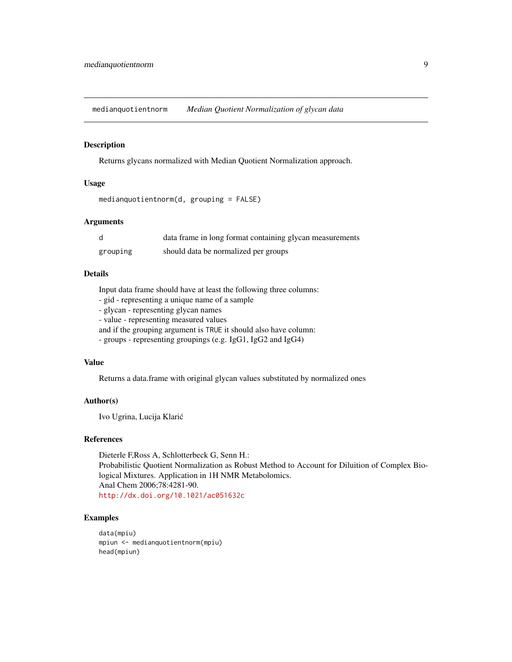<span id="page-8-0"></span>medianquotientnorm *Median Quotient Normalization of glycan data*

#### Description

Returns glycans normalized with Median Quotient Normalization approach.

# Usage

```
medianquotientnorm(d, grouping = FALSE)
```
#### Arguments

| d        | data frame in long format containing glycan measurements |
|----------|----------------------------------------------------------|
| grouping | should data be normalized per groups                     |

#### Details

Input data frame should have at least the following three columns:

- gid - representing a unique name of a sample

- glycan - representing glycan names

- value - representing measured values

and if the grouping argument is TRUE it should also have column:

- groups - representing groupings (e.g. IgG1, IgG2 and IgG4)

#### Value

Returns a data.frame with original glycan values substituted by normalized ones

#### Author(s)

Ivo Ugrina, Lucija Klaric´

#### References

Dieterle F,Ross A, Schlotterbeck G, Senn H.: Probabilistic Quotient Normalization as Robust Method to Account for Diluition of Complex Biological Mixtures. Application in 1H NMR Metabolomics. Anal Chem 2006;78:4281-90. <http://dx.doi.org/10.1021/ac051632c>

#### Examples

```
data(mpiu)
mpiun <- medianquotientnorm(mpiu)
head(mpiun)
```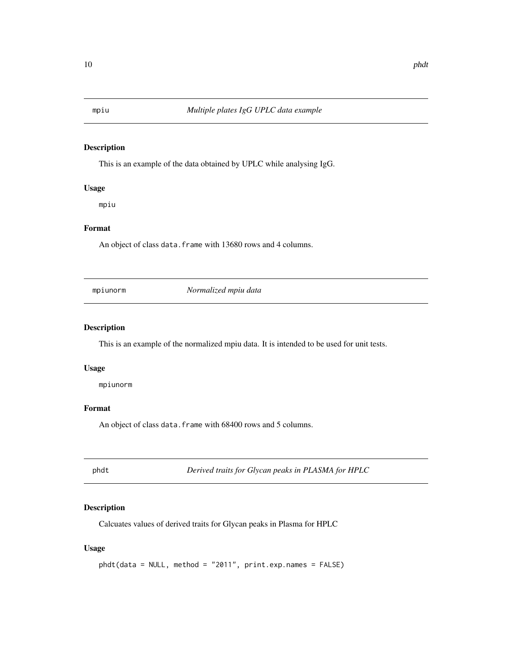<span id="page-9-0"></span>

# Description

This is an example of the data obtained by UPLC while analysing IgG.

# Usage

mpiu

# Format

An object of class data. frame with 13680 rows and 4 columns.

mpiunorm *Normalized mpiu data*

#### Description

This is an example of the normalized mpiu data. It is intended to be used for unit tests.

# Usage

mpiunorm

# Format

An object of class data. frame with 68400 rows and 5 columns.

phdt *Derived traits for Glycan peaks in PLASMA for HPLC*

# Description

Calcuates values of derived traits for Glycan peaks in Plasma for HPLC

# Usage

```
phdt(data = NULL, method = "2011", print.exp.names = FALSE)
```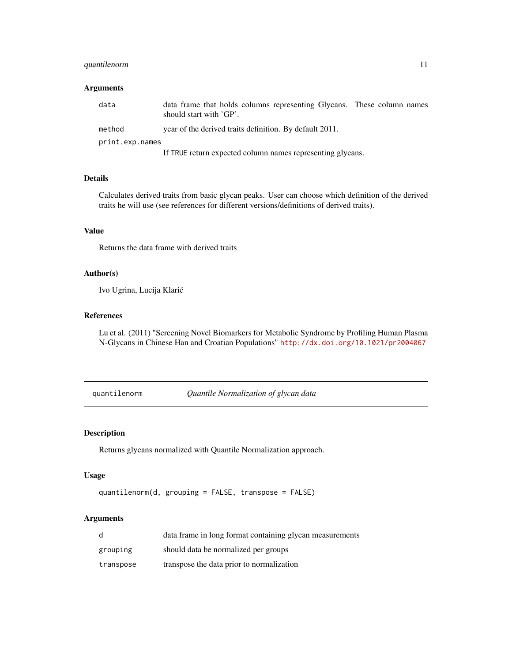# <span id="page-10-0"></span>quantilenorm 11

# Arguments

| data            | data frame that holds columns representing Glycans. These column names<br>should start with 'GP'. |
|-----------------|---------------------------------------------------------------------------------------------------|
| method          | year of the derived traits definition. By default 2011.                                           |
| print.exp.names |                                                                                                   |
|                 | If TRUE return expected column names representing glycans.                                        |

# Details

Calculates derived traits from basic glycan peaks. User can choose which definition of the derived traits he will use (see references for different versions/definitions of derived traits).

# Value

Returns the data frame with derived traits

### Author(s)

Ivo Ugrina, Lucija Klaric´

#### References

Lu et al. (2011) "Screening Novel Biomarkers for Metabolic Syndrome by Profiling Human Plasma N-Glycans in Chinese Han and Croatian Populations" <http://dx.doi.org/10.1021/pr2004067>

quantilenorm *Quantile Normalization of glycan data*

#### Description

Returns glycans normalized with Quantile Normalization approach.

#### Usage

```
quantilenorm(d, grouping = FALSE, transpose = FALSE)
```

| d         | data frame in long format containing glycan measurements |
|-----------|----------------------------------------------------------|
| grouping  | should data be normalized per groups                     |
| transpose | transpose the data prior to normalization                |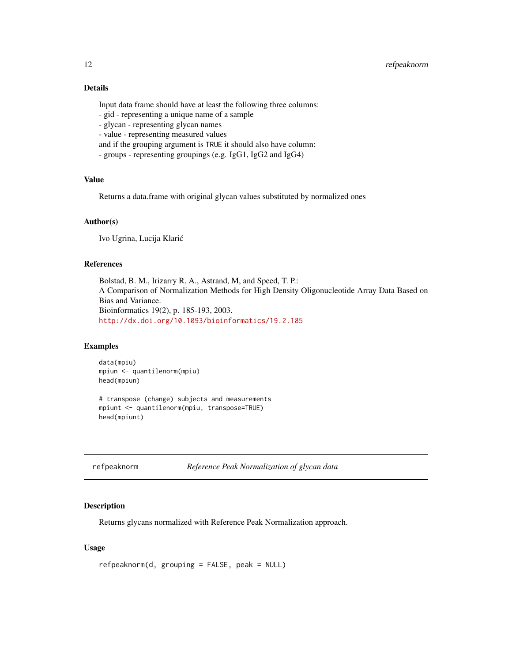# <span id="page-11-0"></span>Details

Input data frame should have at least the following three columns:

- gid representing a unique name of a sample
- glycan representing glycan names
- value representing measured values
- and if the grouping argument is TRUE it should also have column:
- groups representing groupings (e.g. IgG1, IgG2 and IgG4)

### Value

Returns a data.frame with original glycan values substituted by normalized ones

# Author(s)

Ivo Ugrina, Lucija Klaric´

# References

Bolstad, B. M., Irizarry R. A., Astrand, M, and Speed, T. P.: A Comparison of Normalization Methods for High Density Oligonucleotide Array Data Based on Bias and Variance. Bioinformatics 19(2), p. 185-193, 2003. <http://dx.doi.org/10.1093/bioinformatics/19.2.185>

#### Examples

data(mpiu) mpiun <- quantilenorm(mpiu) head(mpiun)

# transpose (change) subjects and measurements mpiunt <- quantilenorm(mpiu, transpose=TRUE) head(mpiunt)

refpeaknorm *Reference Peak Normalization of glycan data*

### Description

Returns glycans normalized with Reference Peak Normalization approach.

# Usage

refpeaknorm(d, grouping = FALSE, peak = NULL)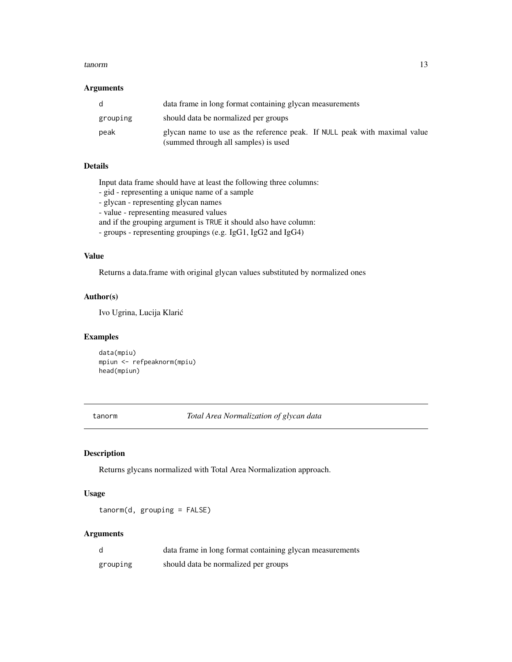#### <span id="page-12-0"></span>tanorm and the contract of the contract of the contract of the contract of the contract of the contract of the contract of the contract of the contract of the contract of the contract of the contract of the contract of the

#### Arguments

| -d       | data frame in long format containing glycan measurements                                                          |
|----------|-------------------------------------------------------------------------------------------------------------------|
| grouping | should data be normalized per groups                                                                              |
| peak     | glycan name to use as the reference peak. If NULL peak with maximal value<br>(summed through all samples) is used |

# Details

Input data frame should have at least the following three columns:

- gid representing a unique name of a sample
- glycan representing glycan names
- value representing measured values

and if the grouping argument is TRUE it should also have column:

- groups - representing groupings (e.g. IgG1, IgG2 and IgG4)

# Value

Returns a data.frame with original glycan values substituted by normalized ones

# Author(s)

Ivo Ugrina, Lucija Klaric´

#### Examples

data(mpiu) mpiun <- refpeaknorm(mpiu) head(mpiun)

tanorm *Total Area Normalization of glycan data*

### Description

Returns glycans normalized with Total Area Normalization approach.

#### Usage

tanorm(d, grouping = FALSE)

| d        | data frame in long format containing glycan measurements |
|----------|----------------------------------------------------------|
| grouping | should data be normalized per groups                     |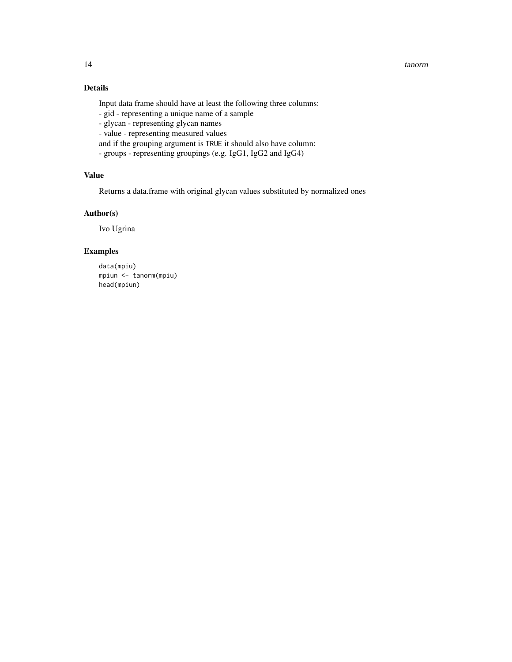#### 14 tanorm tanorm tanorm tanorm tanorm tanorm tanorm tanorm tanorm tanorm tanorm tanorm tanorm tanorm tanorm tanorm tanorm tanorm tanorm tanorm tanorm tanorm tanorm tanorm tanorm tanorm tanorm tanorm tanorm tanorm tanorm ta

# Details

Input data frame should have at least the following three columns:

- gid - representing a unique name of a sample

- glycan - representing glycan names

- value - representing measured values

and if the grouping argument is TRUE it should also have column:

- groups - representing groupings (e.g. IgG1, IgG2 and IgG4)

# Value

Returns a data.frame with original glycan values substituted by normalized ones

# Author(s)

Ivo Ugrina

# Examples

data(mpiu) mpiun <- tanorm(mpiu) head(mpiun)